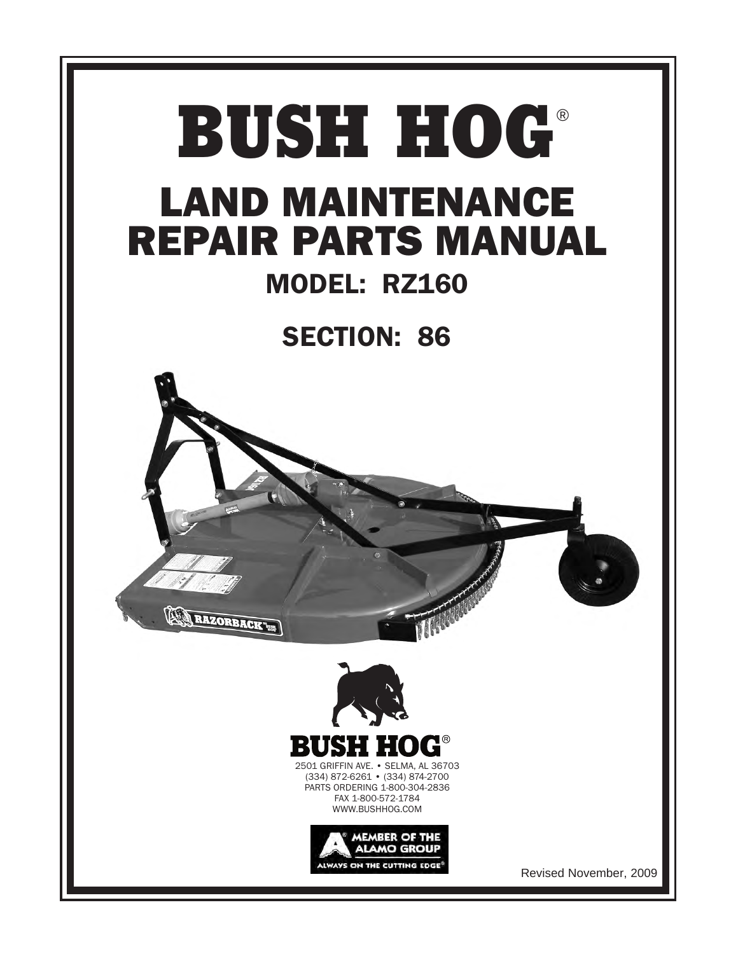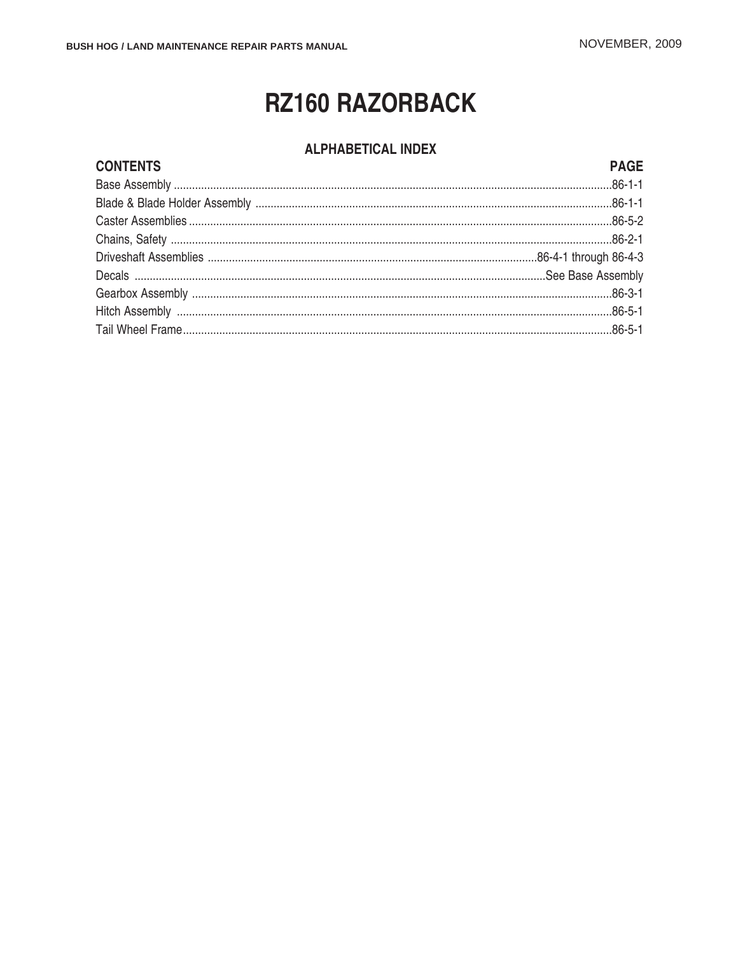# **RZ160 RAZORBACK**

### **ALPHABETICAL INDEX**

### **CONTENTS**

#### **PAGE**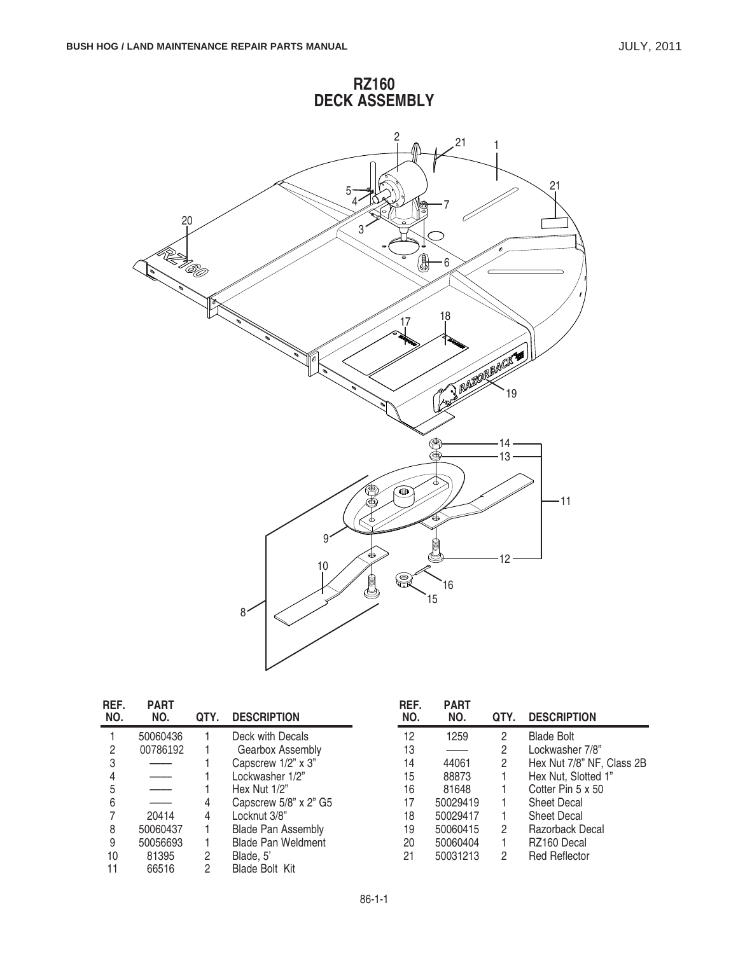

| REF.<br>NO. | <b>PART</b><br>NO. | QTY. | <b>DESCRIPTION</b>          | REF.<br>NO. | <b>PART</b><br>NO. | QTY. | <b>DESCRIPTION</b>        |
|-------------|--------------------|------|-----------------------------|-------------|--------------------|------|---------------------------|
|             | 50060436           |      | Deck with Decals            | 12          | 1259               | 2    | <b>Blade Bolt</b>         |
| 2           | 00786192           |      | Gearbox Assembly            | 13          |                    | 2    | Lockwasher 7/8"           |
| 3           |                    |      | Capscrew 1/2" x 3"          | 14          | 44061              | 2    | Hex Nut 7/8" NF, Class 2B |
|             | -----              |      | Lockwasher 1/2"             | 15          | 88873              |      | Hex Nut, Slotted 1"       |
| 5           |                    |      | Hex Nut $1/2$ "             | 16          | 81648              |      | Cotter Pin 5 x 50         |
| 6           | ____               | 4    | Capscrew $5/8$ " x $2$ " G5 | 17          | 50029419           |      | <b>Sheet Decal</b>        |
|             | 20414              | 4    | Locknut 3/8"                | 18          | 50029417           |      | <b>Sheet Decal</b>        |
| 8           | 50060437           |      | <b>Blade Pan Assembly</b>   | 19          | 50060415           | 2    | Razorback Decal           |
| 9           | 50056693           |      | <b>Blade Pan Weldment</b>   | 20          | 50060404           |      | RZ160 Decal               |
| 10          | 81395              | 2    | Blade, 5'                   | 21          | 50031213           | 2    | <b>Red Reflector</b>      |
| 11          | 66516              | 2    | <b>Blade Bolt Kit</b>       |             |                    |      |                           |

**RZ160**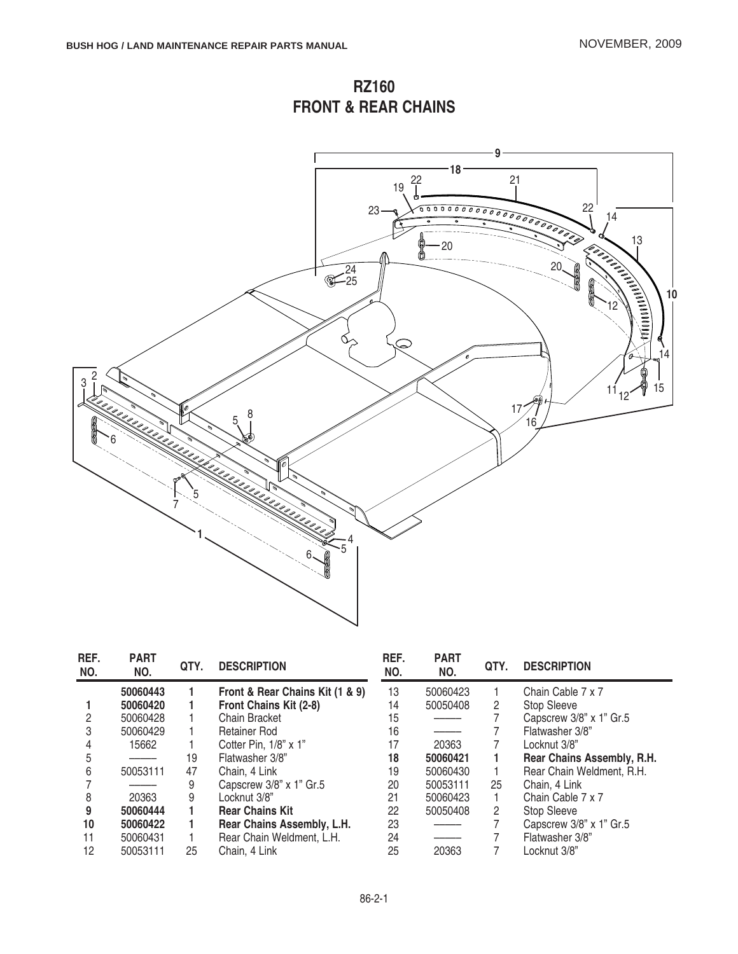**RZ160 FRONT & REAR CHAINS**



| REF.<br>NO. | <b>PART</b><br>NO. | QTY. | <b>DESCRIPTION</b>              | REF.<br>NO. | <b>PART</b><br>NO. | QTY.                  | <b>DESCRIPTION</b>         |
|-------------|--------------------|------|---------------------------------|-------------|--------------------|-----------------------|----------------------------|
|             | 50060443           |      | Front & Rear Chains Kit (1 & 9) | 13          | 50060423           |                       | Chain Cable 7 x 7          |
|             | 50060420           |      | Front Chains Kit (2-8)          | 14          | 50050408           | $\overline{2}$        | <b>Stop Sleeve</b>         |
|             | 50060428           |      | Chain Bracket                   | 15          |                    |                       | Capscrew 3/8" x 1" Gr.5    |
| 3           | 50060429           |      | Retainer Rod                    | 16          | ____               |                       | Flatwasher 3/8"            |
|             | 15662              |      | Cotter Pin, 1/8" x 1"           | 17          | 20363              |                       | Locknut 3/8"               |
| 5           | ____               | 19   | Flatwasher 3/8"                 | 18          | 50060421           |                       | Rear Chains Assembly, R.H. |
| 6           | 50053111           | 47   | Chain, 4 Link                   | 19          | 50060430           |                       | Rear Chain Weldment, R.H.  |
|             |                    | 9    | Capscrew 3/8" x 1" Gr.5         | 20          | 50053111           | 25                    | Chain, 4 Link              |
| 8           | 20363              | 9    | Locknut 3/8"                    | 21          | 50060423           |                       | Chain Cable 7 x 7          |
| 9           | 50060444           |      | <b>Rear Chains Kit</b>          | 22          | 50050408           | $\mathbf{2}^{\prime}$ | <b>Stop Sleeve</b>         |
| 10          | 50060422           |      | Rear Chains Assembly, L.H.      | 23          |                    |                       | Capscrew 3/8" x 1" Gr.5    |
| 11          | 50060431           |      | Rear Chain Weldment, L.H.       | 24          |                    |                       | Flatwasher 3/8"            |
| 12          | 50053111           | 25   | Chain, 4 Link                   | 25          | 20363              |                       | Locknut 3/8"               |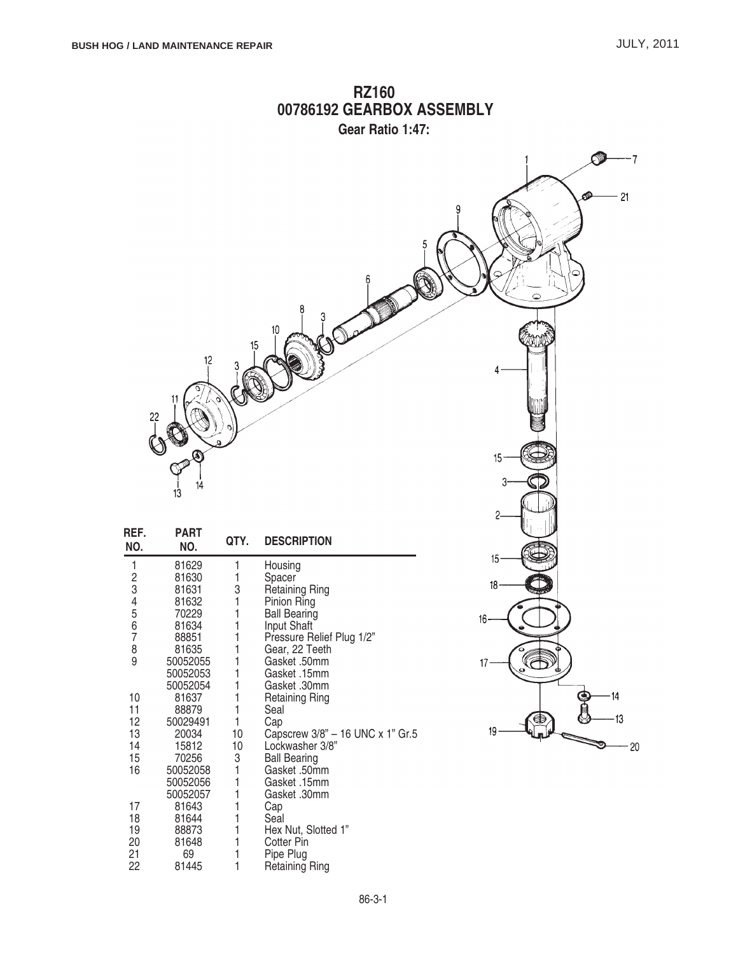l3

 $20$ 

⋐

19



| NO.    | NO.      | QTY. | <b>DESCRIPTION</b>               |
|--------|----------|------|----------------------------------|
| 1      | 81629    | 1    | Housing                          |
|        | 81630    | 1    | Spacer                           |
|        | 81631    | 3    | Retaining Ring                   |
|        | 81632    | 1    | Pinion Ring                      |
| 234567 | 70229    | 1    | <b>Ball Bearing</b>              |
|        | 81634    | 1    | Input Shaft                      |
|        | 88851    | 1    | Pressure Relief Plug 1/2"        |
| 8<br>9 | 81635    | 1    | Gear, 22 Teeth                   |
|        | 50052055 | 1    | Gasket .50mm                     |
|        | 50052053 | 1    | Gasket .15mm                     |
|        | 50052054 | 1    | Gasket .30mm                     |
| 10     | 81637    | 1    | <b>Retaining Ring</b>            |
| 11     | 88879    | 1    | Seal                             |
| 12     | 50029491 | 1    | Cap                              |
| 13     | 20034    | 10   | Capscrew 3/8" - 16 UNC x 1" Gr.5 |
| 14     | 15812    | 10   | Lockwasher 3/8"                  |
| 15     | 70256    | 3    | <b>Ball Bearing</b>              |
| 16     | 50052058 | 1    | Gasket .50mm                     |
|        | 50052056 | 1    | Gasket .15mm                     |
|        | 50052057 | 1    | Gasket .30mm                     |
| 17     | 81643    | 1    | Cap                              |
| 18     | 81644    | 1    | Seal                             |
| 19     | 88873    | 1    | Hex Nut, Slotted 1"              |
| 20     | 81648    | 1    | Cotter Pin                       |
| 21     | 69       |      | Pipe Plug                        |
| 22     | 81445    | 1    | <b>Retaining Ring</b>            |

# **RZ160**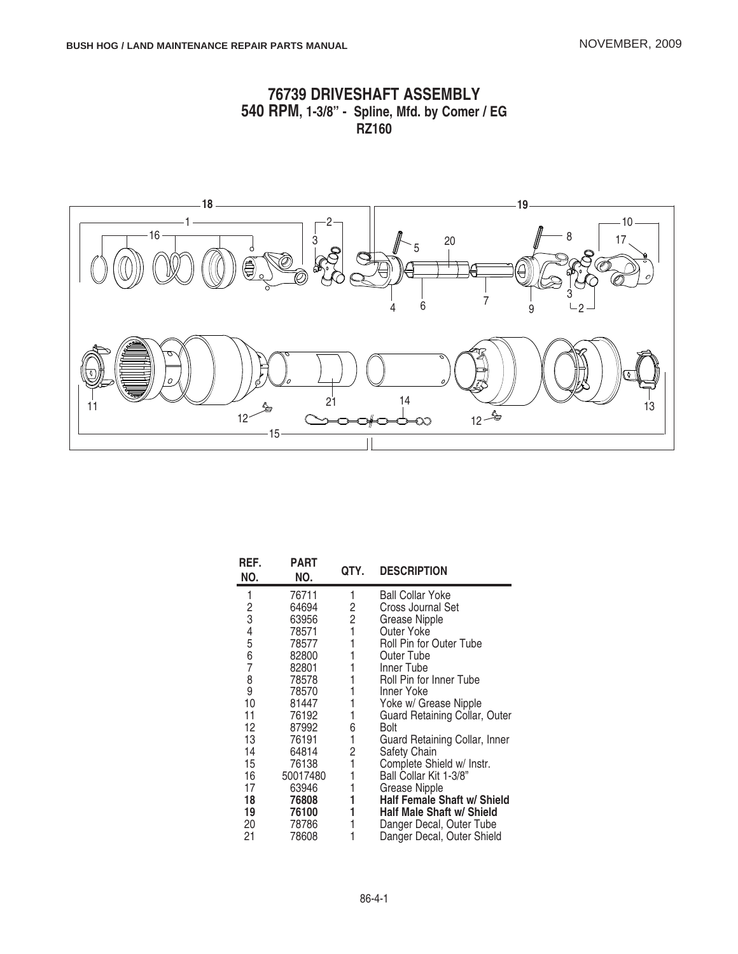





| REF.<br>NO. | <b>PART</b><br>NO. | QTY.           | <b>DESCRIPTION</b>               |
|-------------|--------------------|----------------|----------------------------------|
| 1           | 76711              | 1              | <b>Ball Collar Yoke</b>          |
|             | 64694              | 2              | Cross Journal Set                |
| 2<br>3      | 63956              | $\overline{c}$ | Grease Nipple                    |
|             | 78571              | 1              | Outer Yoke                       |
|             | 78577              |                | Roll Pin for Outer Tube          |
| 4567        | 82800              |                | Outer Tube                       |
|             | 82801              |                | Inner Tube                       |
|             | 78578              |                | Roll Pin for Inner Tube          |
| 8<br>9      | 78570              |                | Inner Yoke                       |
| 10          | 81447              |                | Yoke w/ Grease Nipple            |
| 11          | 76192              | 1              | Guard Retaining Collar, Outer    |
| 12          | 87992              | 6              | Bolt                             |
| 13          | 76191              | 1              | Guard Retaining Collar, Inner    |
| 14          | 64814              | 2              | Safety Chain                     |
| 15          | 76138              | 1              | Complete Shield w/ Instr.        |
| 16          | 50017480           |                | Ball Collar Kit 1-3/8"           |
| 17          | 63946              |                | <b>Grease Nipple</b>             |
| 18          | 76808              |                | Half Female Shaft w/ Shield      |
| 19          | 76100              |                | <b>Half Male Shaft w/ Shield</b> |
| 20          | 78786              |                | Danger Decal, Outer Tube         |
| 21          | 78608              |                | Danger Decal, Outer Shield       |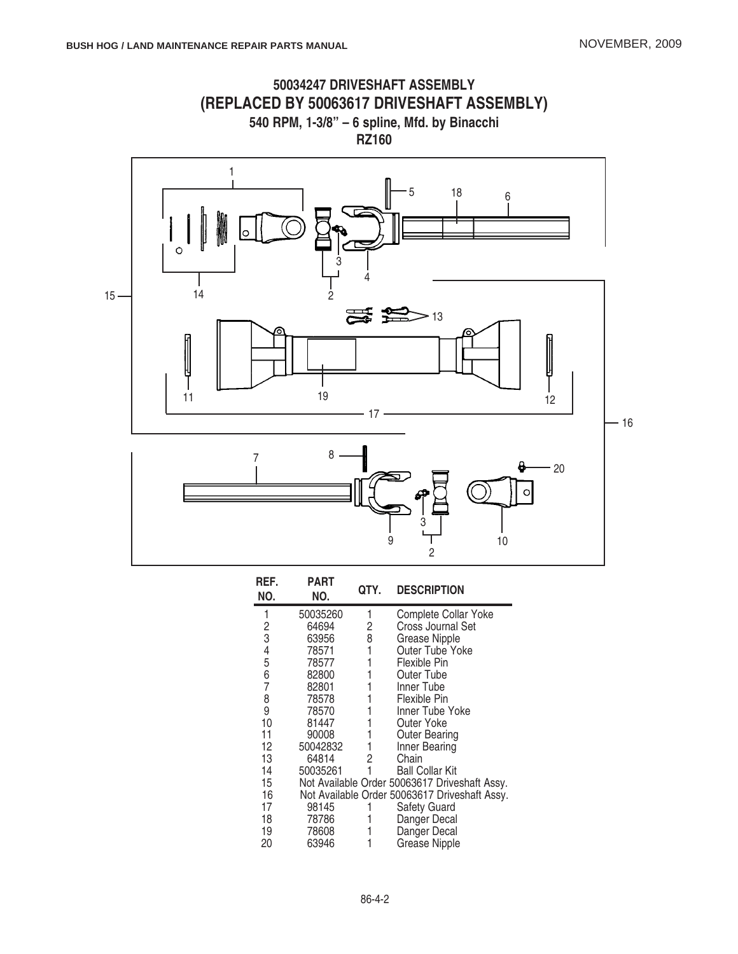

| REF.<br>NO. | PART<br>NO. | QTY. | <b>DESCRIPTION</b>                            |
|-------------|-------------|------|-----------------------------------------------|
| 1           | 50035260    | 1    | Complete Collar Yoke                          |
|             | 64694       | 2    | <b>Cross Journal Set</b>                      |
| 2<br>3      | 63956       | 8    | Grease Nipple                                 |
|             | 78571       |      | <b>Outer Tube Yoke</b>                        |
| 4<br>5      | 78577       |      | Flexible Pin                                  |
| 6           | 82800       |      | Outer Tube                                    |
| 7           | 82801       |      | Inner Tube                                    |
| 8           | 78578       |      | Flexible Pin                                  |
| 9           | 78570       |      | Inner Tube Yoke                               |
| 10          | 81447       |      | Outer Yoke                                    |
| 11          | 90008       |      | Outer Bearing                                 |
| 12          | 50042832    |      | Inner Bearing                                 |
| 13          | 64814       | 2    | Chain                                         |
| 14          | 50035261    |      | <b>Ball Collar Kit</b>                        |
| 15          |             |      | Not Available Order 50063617 Driveshaft Assy. |
| 16          |             |      | Not Available Order 50063617 Driveshaft Assy. |
| 17          | 98145       |      | Safety Guard                                  |
| 18          | 78786       |      | Danger Decal                                  |
| 19          | 78608       |      | Danger Decal                                  |
| 20          | 63946       |      | <b>Grease Nipple</b>                          |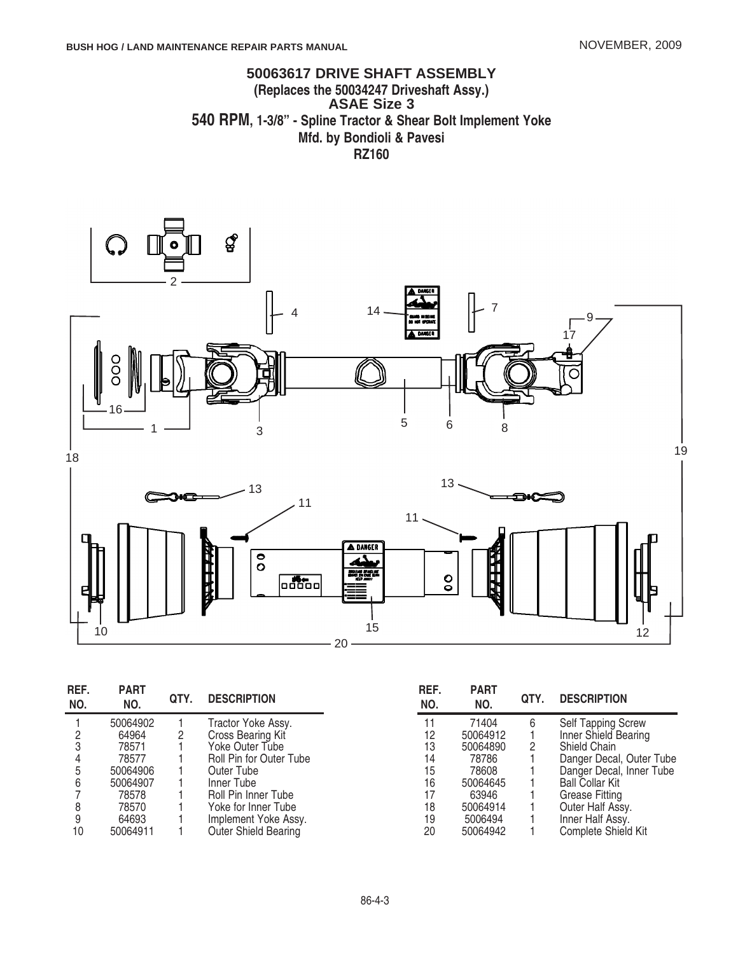### **50063617 DRIVE SHAFT ASSEMBLY (Replaces the 50034247 Driveshaft Assy.) ASAE Size 3 540 RPM, 1-3/8" - Spline Tractor & Shear Bolt Implement Yoke Mfd. by Bondioli & Pavesi RZ160**



| REF.<br>NO. | <b>PART</b><br>NO. | QTY. | <b>DESCRIPTION</b>      | REF.<br>NO. | <b>PART</b><br>NO. | QTY. | <b>DESCRIPTION</b>        |
|-------------|--------------------|------|-------------------------|-------------|--------------------|------|---------------------------|
|             | 50064902           |      | Tractor Yoke Assy.      | 11          | 71404              | 6    | <b>Self Tapping Screw</b> |
|             | 64964              | 2    | Cross Bearing Kit       | 12          | 50064912           |      | Inner Shield Bearing      |
|             | 78571              |      | Yoke Outer Tube         | 13          | 50064890           |      | Shield Chain              |
|             | 78577              |      | Roll Pin for Outer Tube | 14          | 78786              |      | Danger Decal, Outer Tube  |
| 5           | 50064906           |      | Outer Tube              | 15          | 78608              |      | Danger Decal, Inner Tube  |
| 6           | 50064907           |      | Inner Tube              | 16          | 50064645           |      | <b>Ball Collar Kit</b>    |
|             | 78578              |      | Roll Pin Inner Tube     | 17          | 63946              |      | Grease Fitting            |
|             | 78570              |      | Yoke for Inner Tube     | 18          | 50064914           |      | Outer Half Assy.          |
|             | 64693              |      | Implement Yoke Assy.    | 19          | 5006494            |      | Inner Half Assy.          |
| 10          | 50064911           |      | Outer Shield Bearing    | 20          | 50064942           |      | Complete Shield Kit       |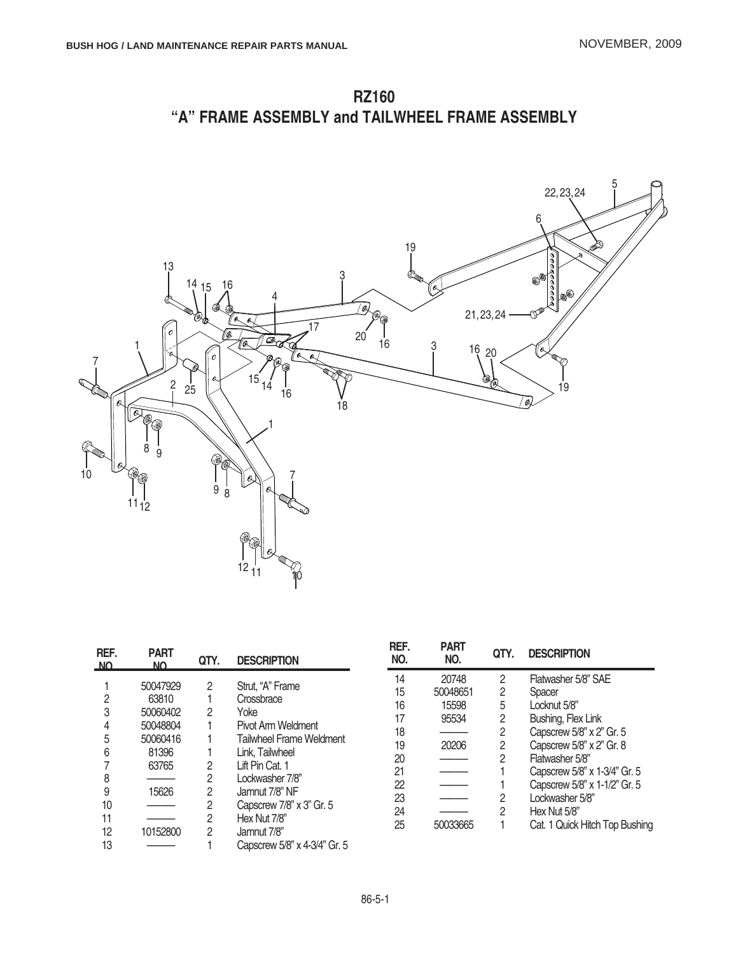**RZ160 "A" FRAME ASSEMBLY and TAILWHEEL FRAME ASSEMBLY**



| REF.<br>NΩ | <b>PART</b><br>NO | QTY. | <b>DESCRIPTION</b>              |
|------------|-------------------|------|---------------------------------|
|            | 50047929          | 2    | Strut, "A" Frame                |
| 2          | 63810             |      | Crossbrace                      |
| 3          | 50060402          | 2    | Yoke                            |
| 4          | 50048804          |      | Pivot Arm Weldment              |
| 5          | 50060416          |      | <b>Tailwheel Frame Weldment</b> |
| 6          | 81396             |      | Link, Tailwheel                 |
| 7          | 63765             | 2    | Lift Pin Cat. 1                 |
| 8          |                   | 2    | Lockwasher 7/8"                 |
| 9          | 15626             | 2    | Jamnut 7/8" NF                  |
| 10         |                   | 2    | Capscrew 7/8" x 3" Gr. 5        |
| 11         |                   | 2    | Hex Nut 7/8"                    |
| 12         | 10152800          | 2    | Jamnut 7/8"                     |
| 13         |                   |      | Capscrew 5/8" x 4-3/4" Gr. 5    |

| <b>PART</b><br>NO. | QTY. | <b>DESCRIPTION</b>             |
|--------------------|------|--------------------------------|
| 20748              | 2    | Flatwasher 5/8" SAE            |
| 50048651           | 2    | Spacer                         |
| 15598              | 5    | Locknut 5/8"                   |
| 95534              | 2    | Bushing, Flex Link             |
|                    | 2    | Capscrew 5/8" x 2" Gr. 5       |
| 20206              | 2    | Capscrew 5/8" x 2" Gr. 8       |
|                    | 2    | Flatwasher 5/8"                |
|                    |      | Capscrew 5/8" x 1-3/4" Gr. 5   |
|                    |      | Capscrew 5/8" x 1-1/2" Gr. 5   |
|                    | 2    | Lockwasher 5/8"                |
|                    | 2    | Hex Nut 5/8"                   |
| 50033665           |      | Cat. 1 Quick Hitch Top Bushing |
|                    |      |                                |